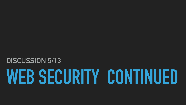



# **DISCUSSION 5/13**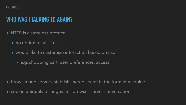# **WHO WAS I TALKING TO AGAIN?**

- ▸ HTTP is a stateless protocol
	- ▸ no notion of session
	- ▸ would like to customize interaction based on user
		- ▸ e.g. shopping cart, user preferences, access

- ▸ browser and server establish shared secret in the form of a cookie
- ▸ cookie uniquely distinguishes browser-server conversations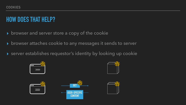# **HOW DOES THAT HELP?**

- ▸ browser and server store a copy of the cookie
- ▸ browser attaches cookie to any messages it sends to server
- ▸ server establishes requestor's identity by looking up cookie









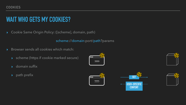# **WAIT WHO GETS MY COOKIES?**

▸ Cookie Same Origin Policy: ([scheme], domain, path)

scheme://domain:port/path?params

- ▸ Browser sends all cookies which match:
	- ▸ scheme (https if cookie marked secure)
	- ▸ domain suffix
	-











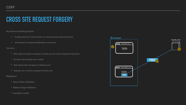# **CROSS SITE REQUEST FORGERY**

Key Features Enabling Exploit:

- ▸ Cookies stored in the browser (i.e. shared across tabs/windows)
- ▸ sent based on request destination not source

Scenario:

- ▶ Secret Token Validation
- ‣ Referer/Origin Validation
- ‣ SameSite cookies
- ‣ Bob opens browser and goes to bank.com for some important business
- ‣ browser stores bank.com cookie
- ‣ Bob opens tab and goes to sketchy.com
- ‣ sketchy.com contains request to bank.com

Mitigations:

## Browser

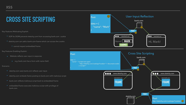## **CROSS SITE SCRIPTING**

Key Features Motivating Exploit:



- ▶ SOP for DOM prevents sketchy.com from accessing bank.com cookie
- ‣ sketchy.com can add a bank.com frame which can access the cookie
	- ‣ cannot inspect embedded frame

Key Features Enabling Exploit:

- ▸ Website reflects user input in response
	- ▸ e.g. bank.com has a form with name field

data  $=$  { "name": "<script>win.open( ) </script>"

Scenario:

- ‣ sketchy.com sees bank.com reflects user input
- ‣ sketchy.com embeds frame posting to bank.com with malicious script
- ‣ bank.com reflects malicious script back to embedded frame
- ‣ embedded frame executes malicious script with privilege of bank.com

## Post:







}